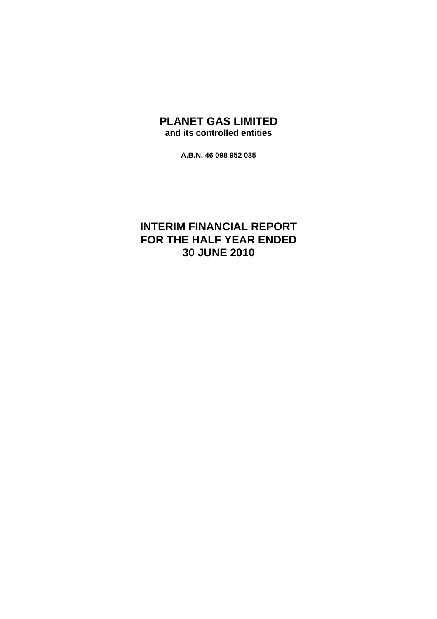# **PLANET GAS LIMITED and its controlled entities**

**A.B.N. 46 098 952 035** 

# **INTERIM FINANCIAL REPORT FOR THE HALF YEAR ENDED 30 JUNE 2010**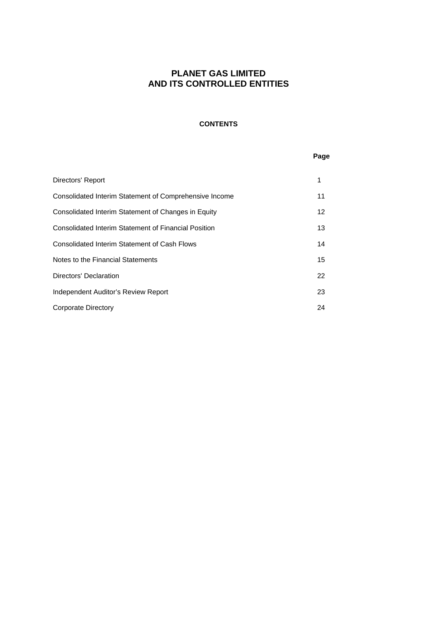# **CONTENTS**

## **Page**

| Directors' Report                                           | 1  |
|-------------------------------------------------------------|----|
| Consolidated Interim Statement of Comprehensive Income      | 11 |
| Consolidated Interim Statement of Changes in Equity         | 12 |
| <b>Consolidated Interim Statement of Financial Position</b> | 13 |
| Consolidated Interim Statement of Cash Flows                | 14 |
| Notes to the Financial Statements                           | 15 |
| Directors' Declaration                                      | 22 |
| Independent Auditor's Review Report                         | 23 |
| Corporate Directory                                         | 24 |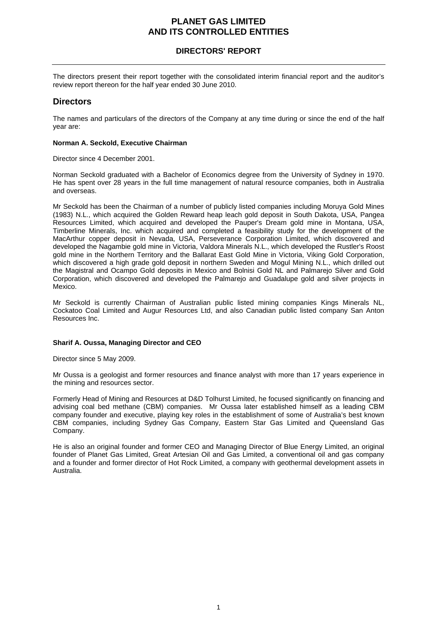# **DIRECTORS' REPORT**

The directors present their report together with the consolidated interim financial report and the auditor's review report thereon for the half year ended 30 June 2010.

# **Directors**

The names and particulars of the directors of the Company at any time during or since the end of the half year are:

## **Norman A. Seckold, Executive Chairman**

Director since 4 December 2001.

Norman Seckold graduated with a Bachelor of Economics degree from the University of Sydney in 1970. He has spent over 28 years in the full time management of natural resource companies, both in Australia and overseas.

Mr Seckold has been the Chairman of a number of publicly listed companies including Moruya Gold Mines (1983) N.L., which acquired the Golden Reward heap leach gold deposit in South Dakota, USA, Pangea Resources Limited, which acquired and developed the Pauper's Dream gold mine in Montana, USA, Timberline Minerals, Inc. which acquired and completed a feasibility study for the development of the MacArthur copper deposit in Nevada, USA, Perseverance Corporation Limited, which discovered and developed the Nagambie gold mine in Victoria, Valdora Minerals N.L., which developed the Rustler's Roost gold mine in the Northern Territory and the Ballarat East Gold Mine in Victoria, Viking Gold Corporation, which discovered a high grade gold deposit in northern Sweden and Mogul Mining N.L., which drilled out the Magistral and Ocampo Gold deposits in Mexico and Bolnisi Gold NL and Palmarejo Silver and Gold Corporation, which discovered and developed the Palmarejo and Guadalupe gold and silver projects in Mexico.

Mr Seckold is currently Chairman of Australian public listed mining companies Kings Minerals NL, Cockatoo Coal Limited and Augur Resources Ltd, and also Canadian public listed company San Anton Resources Inc.

## **Sharif A. Oussa, Managing Director and CEO**

Director since 5 May 2009.

Mr Oussa is a geologist and former resources and finance analyst with more than 17 years experience in the mining and resources sector.

Formerly Head of Mining and Resources at D&D Tolhurst Limited, he focused significantly on financing and advising coal bed methane (CBM) companies. Mr Oussa later established himself as a leading CBM company founder and executive, playing key roles in the establishment of some of Australia's best known CBM companies, including Sydney Gas Company, Eastern Star Gas Limited and Queensland Gas Company.

He is also an original founder and former CEO and Managing Director of Blue Energy Limited, an original founder of Planet Gas Limited, Great Artesian Oil and Gas Limited, a conventional oil and gas company and a founder and former director of Hot Rock Limited, a company with geothermal development assets in Australia.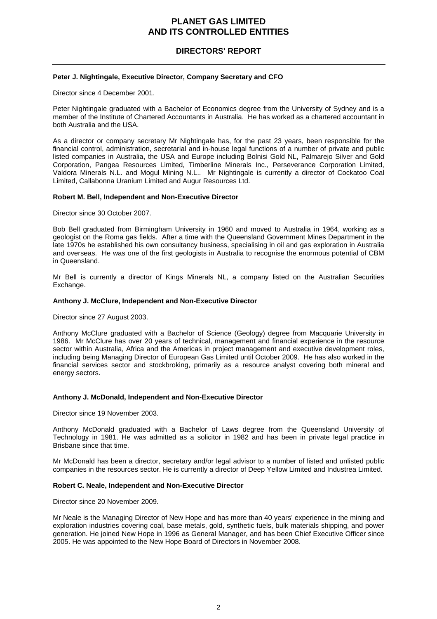# **DIRECTORS' REPORT**

## **Peter J. Nightingale, Executive Director, Company Secretary and CFO**

Director since 4 December 2001.

Peter Nightingale graduated with a Bachelor of Economics degree from the University of Sydney and is a member of the Institute of Chartered Accountants in Australia. He has worked as a chartered accountant in both Australia and the USA.

As a director or company secretary Mr Nightingale has, for the past 23 years, been responsible for the financial control, administration, secretarial and in-house legal functions of a number of private and public listed companies in Australia, the USA and Europe including Bolnisi Gold NL, Palmarejo Silver and Gold Corporation, Pangea Resources Limited, Timberline Minerals Inc., Perseverance Corporation Limited, Valdora Minerals N.L. and Mogul Mining N.L.. Mr Nightingale is currently a director of Cockatoo Coal Limited, Callabonna Uranium Limited and Augur Resources Ltd.

### **Robert M. Bell, Independent and Non-Executive Director**

Director since 30 October 2007.

Bob Bell graduated from Birmingham University in 1960 and moved to Australia in 1964, working as a geologist on the Roma gas fields. After a time with the Queensland Government Mines Department in the late 1970s he established his own consultancy business, specialising in oil and gas exploration in Australia and overseas. He was one of the first geologists in Australia to recognise the enormous potential of CBM in Queensland.

Mr Bell is currently a director of Kings Minerals NL, a company listed on the Australian Securities Exchange.

### **Anthony J. McClure, Independent and Non-Executive Director**

Director since 27 August 2003.

Anthony McClure graduated with a Bachelor of Science (Geology) degree from Macquarie University in 1986. Mr McClure has over 20 years of technical, management and financial experience in the resource sector within Australia, Africa and the Americas in project management and executive development roles, including being Managing Director of European Gas Limited until October 2009. He has also worked in the financial services sector and stockbroking, primarily as a resource analyst covering both mineral and energy sectors.

## **Anthony J. McDonald, Independent and Non-Executive Director**

Director since 19 November 2003.

Anthony McDonald graduated with a Bachelor of Laws degree from the Queensland University of Technology in 1981. He was admitted as a solicitor in 1982 and has been in private legal practice in Brisbane since that time.

Mr McDonald has been a director, secretary and/or legal advisor to a number of listed and unlisted public companies in the resources sector. He is currently a director of Deep Yellow Limited and Industrea Limited.

### **Robert C. Neale, Independent and Non-Executive Director**

Director since 20 November 2009.

Mr Neale is the Managing Director of New Hope and has more than 40 years' experience in the mining and exploration industries covering coal, base metals, gold, synthetic fuels, bulk materials shipping, and power generation. He joined New Hope in 1996 as General Manager, and has been Chief Executive Officer since 2005. He was appointed to the New Hope Board of Directors in November 2008.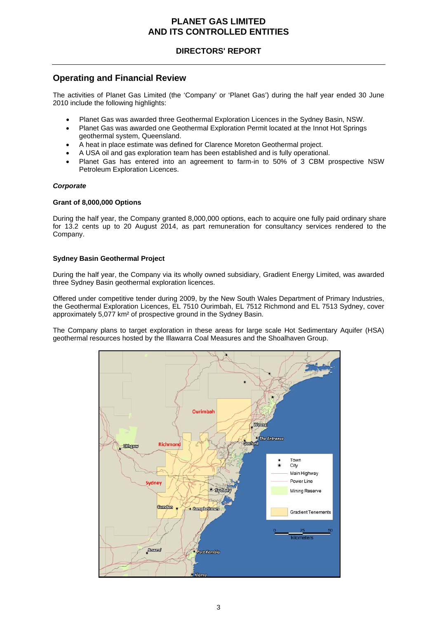# **DIRECTORS' REPORT**

# **Operating and Financial Review**

The activities of Planet Gas Limited (the 'Company' or 'Planet Gas') during the half year ended 30 June 2010 include the following highlights:

- Planet Gas was awarded three Geothermal Exploration Licences in the Sydney Basin, NSW.
- Planet Gas was awarded one Geothermal Exploration Permit located at the Innot Hot Springs geothermal system, Queensland.
- A heat in place estimate was defined for Clarence Moreton Geothermal project.
- A USA oil and gas exploration team has been established and is fully operational.
- Planet Gas has entered into an agreement to farm-in to 50% of 3 CBM prospective NSW Petroleum Exploration Licences.

## *Corporate*

## **Grant of 8,000,000 Options**

During the half year, the Company granted 8,000,000 options, each to acquire one fully paid ordinary share for 13.2 cents up to 20 August 2014, as part remuneration for consultancy services rendered to the Company.

## **Sydney Basin Geothermal Project**

During the half year, the Company via its wholly owned subsidiary, Gradient Energy Limited, was awarded three Sydney Basin geothermal exploration licences.

Offered under competitive tender during 2009, by the New South Wales Department of Primary Industries, the Geothermal Exploration Licences, EL 7510 Ourimbah, EL 7512 Richmond and EL 7513 Sydney, cover approximately 5,077 km² of prospective ground in the Sydney Basin.

The Company plans to target exploration in these areas for large scale Hot Sedimentary Aquifer (HSA) geothermal resources hosted by the Illawarra Coal Measures and the Shoalhaven Group.

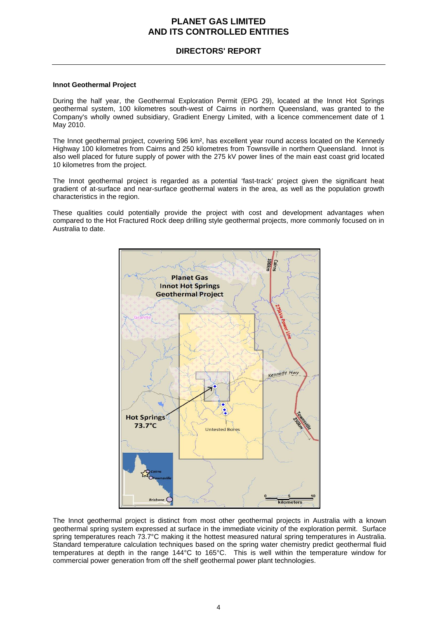# **DIRECTORS' REPORT**

## **Innot Geothermal Project**

During the half year, the Geothermal Exploration Permit (EPG 29), located at the Innot Hot Springs geothermal system, 100 kilometres south-west of Cairns in northern Queensland, was granted to the Company's wholly owned subsidiary, Gradient Energy Limited, with a licence commencement date of 1 May 2010.

The Innot geothermal project, covering 596 km², has excellent year round access located on the Kennedy Highway 100 kilometres from Cairns and 250 kilometres from Townsville in northern Queensland. Innot is also well placed for future supply of power with the 275 kV power lines of the main east coast grid located 10 kilometres from the project.

The Innot geothermal project is regarded as a potential 'fast-track' project given the significant heat gradient of at-surface and near-surface geothermal waters in the area, as well as the population growth characteristics in the region.

These qualities could potentially provide the project with cost and development advantages when compared to the Hot Fractured Rock deep drilling style geothermal projects, more commonly focused on in Australia to date.



The Innot geothermal project is distinct from most other geothermal projects in Australia with a known geothermal spring system expressed at surface in the immediate vicinity of the exploration permit. Surface spring temperatures reach 73.7°C making it the hottest measured natural spring temperatures in Australia. Standard temperature calculation techniques based on the spring water chemistry predict geothermal fluid temperatures at depth in the range 144°C to 165°C. This is well within the temperature window for commercial power generation from off the shelf geothermal power plant technologies.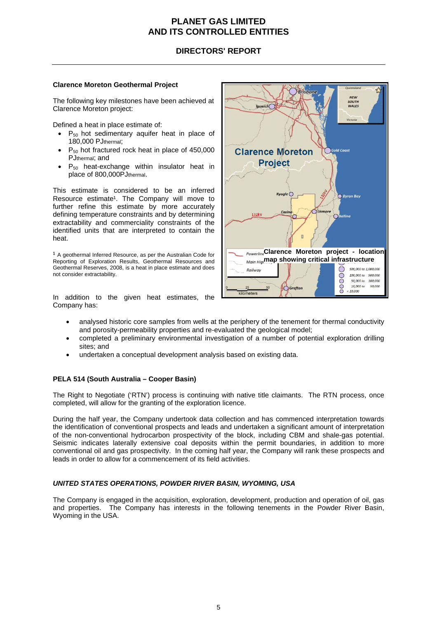# **DIRECTORS' REPORT**

## **Clarence Moreton Geothermal Project**

The following key milestones have been achieved at Clarence Moreton project:

Defined a heat in place estimate of:

- $P_{50}$  hot sedimentary aquifer heat in place of 180,000 PJthermal;
- $P_{50}$  hot fractured rock heat in place of 450,000 PJthermal; and
- $P_{50}$  heat-exchange within insulator heat in place of 800,000PJthermal.

This estimate is considered to be an inferred Resource estimate<sup>1</sup>. The Company will move to further refine this estimate by more accurately defining temperature constraints and by determining extractability and commerciality constraints of the identified units that are interpreted to contain the heat.

 $1$  A geothermal Inferred Resource, as per the Australian Code for Reporting of Exploration Results, Geothermal Resources and Geothermal Reserves, 2008, is a heat in place estimate and does not consider extractability.

In addition to the given heat estimates, the Company has:



- analysed historic core samples from wells at the periphery of the tenement for thermal conductivity and porosity-permeability properties and re-evaluated the geological model;
- completed a preliminary environmental investigation of a number of potential exploration drilling sites; and
- undertaken a conceptual development analysis based on existing data.

## **PELA 514 (South Australia – Cooper Basin)**

The Right to Negotiate ('RTN') process is continuing with native title claimants. The RTN process, once completed, will allow for the granting of the exploration licence.

During the half year, the Company undertook data collection and has commenced interpretation towards the identification of conventional prospects and leads and undertaken a significant amount of interpretation of the non-conventional hydrocarbon prospectivity of the block, including CBM and shale-gas potential. Seismic indicates laterally extensive coal deposits within the permit boundaries, in addition to more conventional oil and gas prospectivity. In the coming half year, the Company will rank these prospects and leads in order to allow for a commencement of its field activities.

## *UNITED STATES OPERATIONS, POWDER RIVER BASIN, WYOMING, USA*

The Company is engaged in the acquisition, exploration, development, production and operation of oil, gas and properties. The Company has interests in the following tenements in the Powder River Basin, Wyoming in the USA.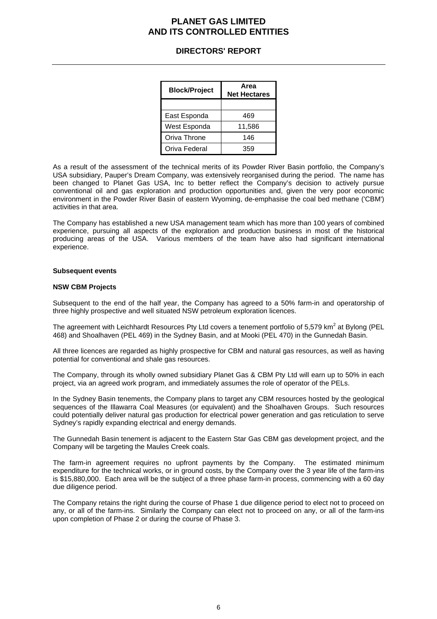# **DIRECTORS' REPORT**

| <b>Block/Project</b> | Area<br><b>Net Hectares</b> |
|----------------------|-----------------------------|
|                      |                             |
| East Esponda         | 469                         |
| West Esponda         | 11,586                      |
| Oriva Throne         | 146                         |
| Oriva Federal        | 359                         |

As a result of the assessment of the technical merits of its Powder River Basin portfolio, the Company's USA subsidiary, Pauper's Dream Company, was extensively reorganised during the period. The name has been changed to Planet Gas USA, Inc to better reflect the Company's decision to actively pursue conventional oil and gas exploration and production opportunities and, given the very poor economic environment in the Powder River Basin of eastern Wyoming, de-emphasise the coal bed methane ('CBM') activities in that area.

The Company has established a new USA management team which has more than 100 years of combined experience, pursuing all aspects of the exploration and production business in most of the historical producing areas of the USA. Various members of the team have also had significant international experience.

### **Subsequent events**

### **NSW CBM Projects**

Subsequent to the end of the half year, the Company has agreed to a 50% farm-in and operatorship of three highly prospective and well situated NSW petroleum exploration licences.

The agreement with Leichhardt Resources Pty Ltd covers a tenement portfolio of 5,579 km<sup>2</sup> at Bylong (PEL 468) and Shoalhaven (PEL 469) in the Sydney Basin, and at Mooki (PEL 470) in the Gunnedah Basin.

All three licences are regarded as highly prospective for CBM and natural gas resources, as well as having potential for conventional and shale gas resources.

The Company, through its wholly owned subsidiary Planet Gas & CBM Pty Ltd will earn up to 50% in each project, via an agreed work program, and immediately assumes the role of operator of the PELs.

In the Sydney Basin tenements, the Company plans to target any CBM resources hosted by the geological sequences of the Illawarra Coal Measures (or equivalent) and the Shoalhaven Groups. Such resources could potentially deliver natural gas production for electrical power generation and gas reticulation to serve Sydney's rapidly expanding electrical and energy demands.

The Gunnedah Basin tenement is adjacent to the Eastern Star Gas CBM gas development project, and the Company will be targeting the Maules Creek coals.

The farm-in agreement requires no upfront payments by the Company. The estimated minimum expenditure for the technical works, or in ground costs, by the Company over the 3 year life of the farm-ins is \$15,880,000. Each area will be the subject of a three phase farm-in process, commencing with a 60 day due diligence period.

The Company retains the right during the course of Phase 1 due diligence period to elect not to proceed on any, or all of the farm-ins. Similarly the Company can elect not to proceed on any, or all of the farm-ins upon completion of Phase 2 or during the course of Phase 3.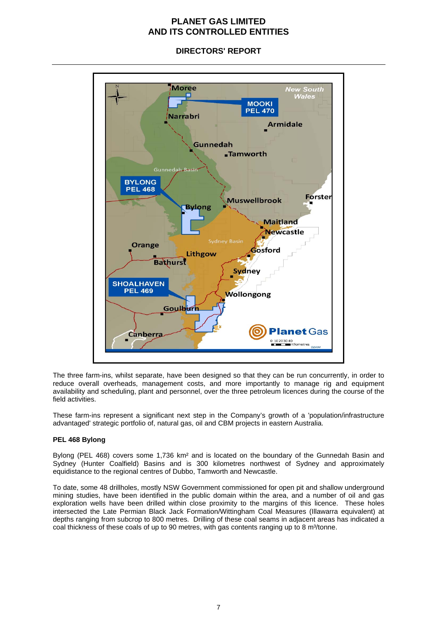Moree **New South**<br>Wales **MOOKI PEL 470** Narrahri **Armidale** Gunnedah **Tamworth** Gunnedah Ba **BYLONG PEL 468 Forster Muswellbrook Bylong Maitland Newcastle** Sydney Bas Orange Gosford Lithgow **Bathurst** Sydney **SHOALHAVEN PEL 469 Wollongong** Goulburn **Planet Gas** G Canberra 0 10 2030 40<br>Kilometres

# **DIRECTORS' REPORT**

The three farm-ins, whilst separate, have been designed so that they can be run concurrently, in order to reduce overall overheads, management costs, and more importantly to manage rig and equipment availability and scheduling, plant and personnel, over the three petroleum licences during the course of the field activities.

These farm-ins represent a significant next step in the Company's growth of a 'population/infrastructure advantaged' strategic portfolio of, natural gas, oil and CBM projects in eastern Australia.

## **PEL 468 Bylong**

Bylong (PEL 468) covers some 1,736 km² and is located on the boundary of the Gunnedah Basin and Sydney (Hunter Coalfield) Basins and is 300 kilometres northwest of Sydney and approximately equidistance to the regional centres of Dubbo, Tamworth and Newcastle.

To date, some 48 drillholes, mostly NSW Government commissioned for open pit and shallow underground mining studies, have been identified in the public domain within the area, and a number of oil and gas exploration wells have been drilled within close proximity to the margins of this licence. These holes intersected the Late Permian Black Jack Formation/Wittingham Coal Measures (Illawarra equivalent) at depths ranging from subcrop to 800 metres. Drilling of these coal seams in adjacent areas has indicated a coal thickness of these coals of up to 90 metres, with gas contents ranging up to 8 m<sup>3</sup>/tonne.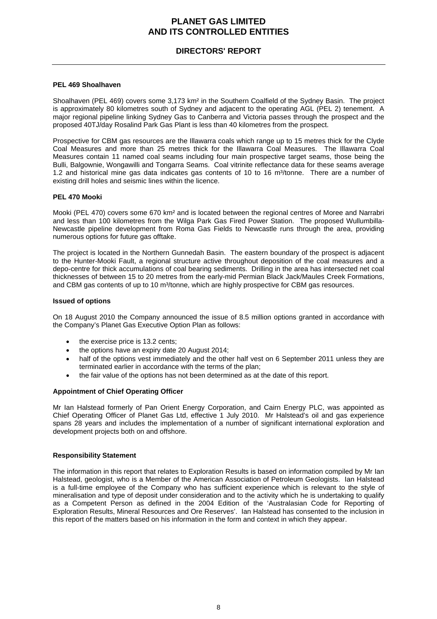# **DIRECTORS' REPORT**

## **PEL 469 Shoalhaven**

Shoalhaven (PEL 469) covers some 3,173 km<sup>2</sup> in the Southern Coalfield of the Sydney Basin. The project is approximately 80 kilometres south of Sydney and adjacent to the operating AGL (PEL 2) tenement. A major regional pipeline linking Sydney Gas to Canberra and Victoria passes through the prospect and the proposed 40TJ/day Rosalind Park Gas Plant is less than 40 kilometres from the prospect.

Prospective for CBM gas resources are the Illawarra coals which range up to 15 metres thick for the Clyde Coal Measures and more than 25 metres thick for the Illawarra Coal Measures. The Illawarra Coal Measures contain 11 named coal seams including four main prospective target seams, those being the Bulli, Balgownie, Wongawilli and Tongarra Seams. Coal vitrinite reflectance data for these seams average 1.2 and historical mine gas data indicates gas contents of 10 to 16 m<sup>3</sup>/tonne. There are a number of existing drill holes and seismic lines within the licence.

### **PEL 470 Mooki**

Mooki (PEL 470) covers some 670 km² and is located between the regional centres of Moree and Narrabri and less than 100 kilometres from the Wilga Park Gas Fired Power Station. The proposed Wullumbilla-Newcastle pipeline development from Roma Gas Fields to Newcastle runs through the area, providing numerous options for future gas offtake.

The project is located in the Northern Gunnedah Basin. The eastern boundary of the prospect is adjacent to the Hunter-Mooki Fault, a regional structure active throughout deposition of the coal measures and a depo-centre for thick accumulations of coal bearing sediments. Drilling in the area has intersected net coal thicknesses of between 15 to 20 metres from the early-mid Permian Black Jack/Maules Creek Formations, and CBM gas contents of up to 10 m<sup>3</sup>/tonne, which are highly prospective for CBM gas resources.

### **Issued of options**

On 18 August 2010 the Company announced the issue of 8.5 million options granted in accordance with the Company's Planet Gas Executive Option Plan as follows:

- the exercise price is 13.2 cents;
- the options have an expiry date 20 August 2014;
- half of the options vest immediately and the other half vest on 6 September 2011 unless they are terminated earlier in accordance with the terms of the plan;
- the fair value of the options has not been determined as at the date of this report.

### **Appointment of Chief Operating Officer**

Mr Ian Halstead formerly of Pan Orient Energy Corporation, and Cairn Energy PLC, was appointed as Chief Operating Officer of Planet Gas Ltd, effective 1 July 2010. Mr Halstead's oil and gas experience spans 28 years and includes the implementation of a number of significant international exploration and development projects both on and offshore.

## **Responsibility Statement**

The information in this report that relates to Exploration Results is based on information compiled by Mr Ian Halstead, geologist, who is a Member of the American Association of Petroleum Geologists. Ian Halstead is a full-time employee of the Company who has sufficient experience which is relevant to the style of mineralisation and type of deposit under consideration and to the activity which he is undertaking to qualify as a Competent Person as defined in the 2004 Edition of the 'Australasian Code for Reporting of Exploration Results, Mineral Resources and Ore Reserves'. Ian Halstead has consented to the inclusion in this report of the matters based on his information in the form and context in which they appear.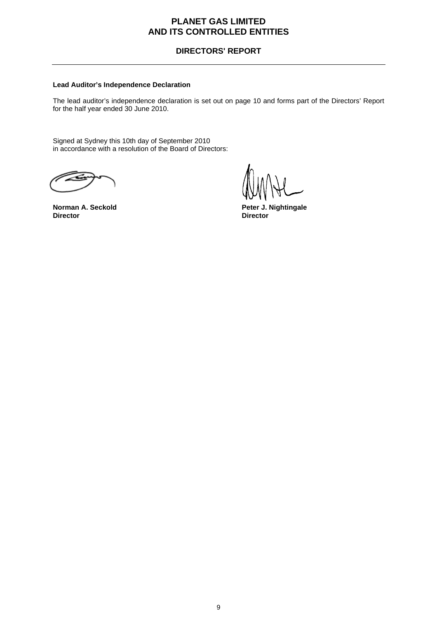# **DIRECTORS' REPORT**

## **Lead Auditor's Independence Declaration**

The lead auditor's independence declaration is set out on page 10 and forms part of the Directors' Report for the half year ended 30 June 2010.

Signed at Sydney this 10th day of September 2010 in accordance with a resolution of the Board of Directors:

**Norman A. Seckold Peter J. Nightingale**<br>
Director **Director Director**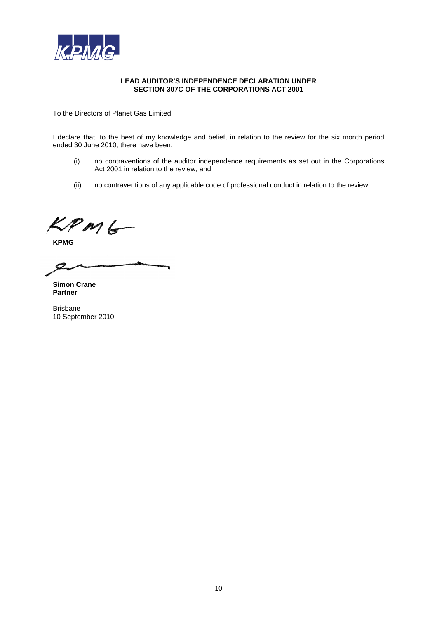

### **LEAD AUDITOR'S INDEPENDENCE DECLARATION UNDER SECTION 307C OF THE CORPORATIONS ACT 2001**

To the Directors of Planet Gas Limited:

I declare that, to the best of my knowledge and belief, in relation to the review for the six month period ended 30 June 2010, there have been:

- (i) no contraventions of the auditor independence requirements as set out in the Corporations Act 2001 in relation to the review; and
- (ii) no contraventions of any applicable code of professional conduct in relation to the review.

 $KPMG$ 

**KPMG** 

O

**Simon Crane Partner** 

Brisbane 10 September 2010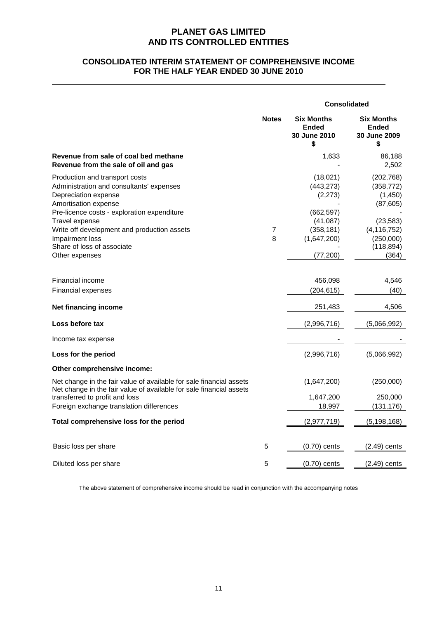# **CONSOLIDATED INTERIM STATEMENT OF COMPREHENSIVE INCOME FOR THE HALF YEAR ENDED 30 JUNE 2010**

|                                                                                                                                                                                                                          |                     | <b>Consolidated</b>                                            |                                                                |  |
|--------------------------------------------------------------------------------------------------------------------------------------------------------------------------------------------------------------------------|---------------------|----------------------------------------------------------------|----------------------------------------------------------------|--|
|                                                                                                                                                                                                                          | <b>Notes</b>        | <b>Six Months</b><br><b>Ended</b><br><b>30 June 2010</b><br>\$ | <b>Six Months</b><br>Ended<br><b>30 June 2009</b><br>\$        |  |
| Revenue from sale of coal bed methane<br>Revenue from the sale of oil and gas                                                                                                                                            |                     | 1,633                                                          | 86,188<br>2,502                                                |  |
| Production and transport costs<br>Administration and consultants' expenses<br>Depreciation expense<br>Amortisation expense<br>Pre-licence costs - exploration expenditure                                                |                     | (18,021)<br>(443, 273)<br>(2, 273)<br>(662, 597)               | (202, 768)<br>(358, 772)<br>(1,450)<br>(87, 605)               |  |
| Travel expense<br>Write off development and production assets<br>Impairment loss<br>Share of loss of associate<br>Other expenses                                                                                         | $\overline{7}$<br>8 | (41,087)<br>(358, 181)<br>(1,647,200)<br>(77, 200)             | (23, 583)<br>(4, 116, 752)<br>(250,000)<br>(118, 894)<br>(364) |  |
| Financial income<br><b>Financial expenses</b>                                                                                                                                                                            |                     | 456,098<br>(204, 615)                                          | 4,546<br>(40)                                                  |  |
| Net financing income                                                                                                                                                                                                     |                     | 251,483                                                        | 4,506                                                          |  |
| Loss before tax                                                                                                                                                                                                          |                     | (2,996,716)                                                    | (5,066,992)                                                    |  |
| Income tax expense                                                                                                                                                                                                       |                     |                                                                |                                                                |  |
| Loss for the period                                                                                                                                                                                                      |                     | (2,996,716)                                                    | (5,066,992)                                                    |  |
| Other comprehensive income:                                                                                                                                                                                              |                     |                                                                |                                                                |  |
| Net change in the fair value of available for sale financial assets<br>Net change in the fair value of available for sale financial assets<br>transferred to profit and loss<br>Foreign exchange translation differences |                     | (1,647,200)<br>1,647,200<br>18,997                             | (250,000)<br>250,000<br>(131, 176)                             |  |
| Total comprehensive loss for the period                                                                                                                                                                                  |                     | (2,977,719)                                                    | (5, 198, 168)                                                  |  |
| Basic loss per share                                                                                                                                                                                                     | 5                   | $(0.70)$ cents                                                 | $(2.49)$ cents                                                 |  |
| Diluted loss per share                                                                                                                                                                                                   | 5                   | $(0.70)$ cents                                                 | $(2.49)$ cents                                                 |  |

The above statement of comprehensive income should be read in conjunction with the accompanying notes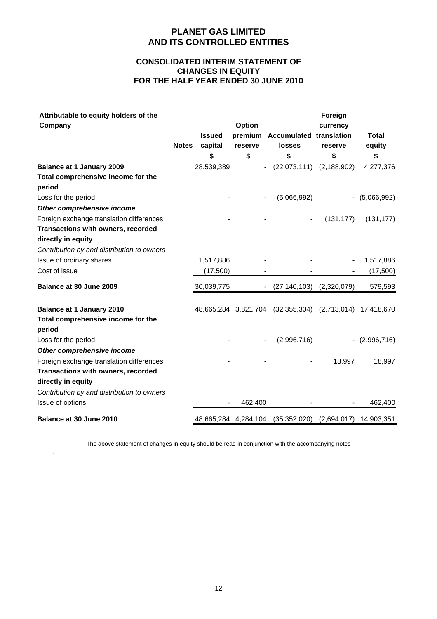# **CONSOLIDATED INTERIM STATEMENT OF CHANGES IN EQUITY FOR THE HALF YEAR ENDED 30 JUNE 2010**

| Attributable to equity holders of the<br>Company | <b>Notes</b> | <b>Issued</b><br>capital | Option<br>reserve        | premium Accumulated translation<br>losses                | Foreign<br>currency<br>reserve | <b>Total</b><br>equity |
|--------------------------------------------------|--------------|--------------------------|--------------------------|----------------------------------------------------------|--------------------------------|------------------------|
|                                                  |              | \$                       | \$                       | \$                                                       | \$                             | \$                     |
| <b>Balance at 1 January 2009</b>                 |              | 28,539,389               | $\overline{\phantom{a}}$ | $(22,073,111)$ $(2,188,902)$                             |                                | 4,277,376              |
| Total comprehensive income for the               |              |                          |                          |                                                          |                                |                        |
| period                                           |              |                          |                          |                                                          |                                |                        |
| Loss for the period                              |              |                          |                          | (5,066,992)                                              |                                | $-$ (5,066,992)        |
| Other comprehensive income                       |              |                          |                          |                                                          |                                |                        |
| Foreign exchange translation differences         |              |                          |                          |                                                          | (131, 177)                     | (131, 177)             |
| Transactions with owners, recorded               |              |                          |                          |                                                          |                                |                        |
| directly in equity                               |              |                          |                          |                                                          |                                |                        |
| Contribution by and distribution to owners       |              |                          |                          |                                                          |                                |                        |
| Issue of ordinary shares                         |              | 1,517,886                |                          |                                                          |                                | 1,517,886              |
| Cost of issue                                    |              | (17,500)                 |                          |                                                          |                                | (17,500)               |
| Balance at 30 June 2009                          |              | 30,039,775               |                          | (27, 140, 103)                                           | (2,320,079)                    | 579,593                |
| <b>Balance at 1 January 2010</b>                 |              |                          |                          | 48,665,284 3,821,704 (32,355,304) (2,713,014) 17,418,670 |                                |                        |
| Total comprehensive income for the<br>period     |              |                          |                          |                                                          |                                |                        |
| Loss for the period                              |              |                          |                          | (2,996,716)                                              |                                | $-(2,996,716)$         |
| Other comprehensive income                       |              |                          |                          |                                                          |                                |                        |
| Foreign exchange translation differences         |              |                          |                          |                                                          | 18,997                         | 18,997                 |
| Transactions with owners, recorded               |              |                          |                          |                                                          |                                |                        |
| directly in equity                               |              |                          |                          |                                                          |                                |                        |
| Contribution by and distribution to owners       |              |                          |                          |                                                          |                                |                        |
| Issue of options                                 |              |                          | 462,400                  |                                                          |                                | 462,400                |
| Balance at 30 June 2010                          |              | 48,665,284 4,284,104     |                          | (35, 352, 020)                                           | (2,694,017)                    | 14,903,351             |

The above statement of changes in equity should be read in conjunction with the accompanying notes

.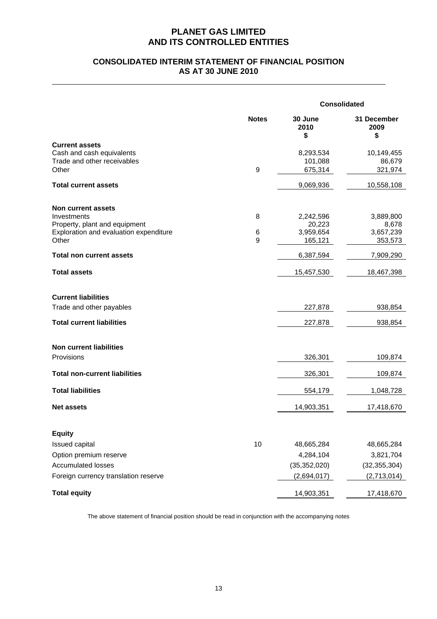# **CONSOLIDATED INTERIM STATEMENT OF FINANCIAL POSITION AS AT 30 JUNE 2010**

|                                                          |              | <b>Consolidated</b>   |                           |  |
|----------------------------------------------------------|--------------|-----------------------|---------------------------|--|
|                                                          | <b>Notes</b> | 30 June<br>2010<br>\$ | 31 December<br>2009<br>\$ |  |
| <b>Current assets</b>                                    |              |                       |                           |  |
| Cash and cash equivalents<br>Trade and other receivables |              | 8,293,534             | 10,149,455                |  |
| Other                                                    | 9            | 101,088<br>675,314    | 86,679<br>321,974         |  |
|                                                          |              |                       |                           |  |
| <b>Total current assets</b>                              |              | 9,069,936             | 10,558,108                |  |
| Non current assets                                       |              |                       |                           |  |
| Investments                                              | 8            | 2,242,596             | 3,889,800                 |  |
| Property, plant and equipment                            |              | 20,223                | 8,678                     |  |
| Exploration and evaluation expenditure<br>Other          | 6<br>9       | 3,959,654<br>165,121  | 3,657,239<br>353,573      |  |
| <b>Total non current assets</b>                          |              | 6,387,594             | 7,909,290                 |  |
|                                                          |              |                       |                           |  |
| <b>Total assets</b>                                      |              | 15,457,530            | 18,467,398                |  |
| <b>Current liabilities</b>                               |              |                       |                           |  |
| Trade and other payables                                 |              | 227,878               | 938,854                   |  |
|                                                          |              |                       |                           |  |
| <b>Total current liabilities</b>                         |              | 227,878               | 938,854                   |  |
| <b>Non current liabilities</b>                           |              |                       |                           |  |
| Provisions                                               |              | 326,301               | 109,874                   |  |
| <b>Total non-current liabilities</b>                     |              | 326,301               | 109,874                   |  |
|                                                          |              |                       |                           |  |
| <b>Total liabilities</b>                                 |              | 554,179               | 1,048,728                 |  |
| <b>Net assets</b>                                        |              | 14,903,351            | 17,418,670                |  |
|                                                          |              |                       |                           |  |
| <b>Equity</b>                                            |              |                       |                           |  |
| Issued capital                                           | 10           | 48,665,284            | 48,665,284                |  |
| Option premium reserve                                   |              | 4,284,104             | 3,821,704                 |  |
| <b>Accumulated losses</b>                                |              | (35, 352, 020)        | (32, 355, 304)            |  |
| Foreign currency translation reserve                     |              | (2,694,017)           | (2,713,014)               |  |
| <b>Total equity</b>                                      |              | 14,903,351            | 17,418,670                |  |

The above statement of financial position should be read in conjunction with the accompanying notes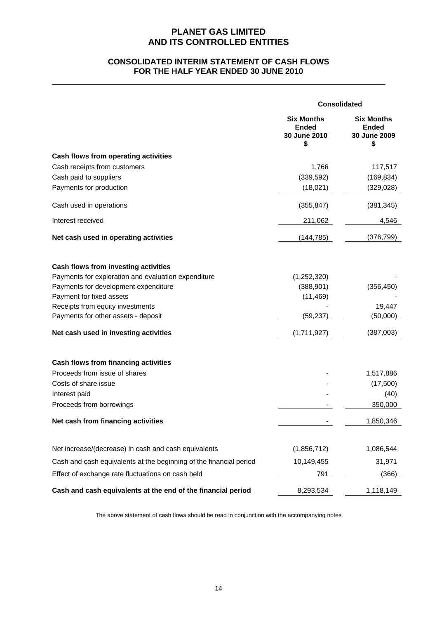# **CONSOLIDATED INTERIM STATEMENT OF CASH FLOWS FOR THE HALF YEAR ENDED 30 JUNE 2010**

|                                                                    | <b>Consolidated</b>                                     |                                                         |  |
|--------------------------------------------------------------------|---------------------------------------------------------|---------------------------------------------------------|--|
|                                                                    | <b>Six Months</b><br><b>Ended</b><br>30 June 2010<br>\$ | <b>Six Months</b><br><b>Ended</b><br>30 June 2009<br>\$ |  |
| Cash flows from operating activities                               |                                                         |                                                         |  |
| Cash receipts from customers                                       | 1,766                                                   | 117,517                                                 |  |
| Cash paid to suppliers                                             | (339, 592)                                              | (169, 834)                                              |  |
| Payments for production                                            | (18,021)                                                | (329, 028)                                              |  |
| Cash used in operations                                            | (355, 847)                                              | (381, 345)                                              |  |
| Interest received                                                  | 211,062                                                 | 4,546                                                   |  |
| Net cash used in operating activities                              | (144, 785)                                              | (376, 799)                                              |  |
| Cash flows from investing activities                               |                                                         |                                                         |  |
| Payments for exploration and evaluation expenditure                | (1,252,320)                                             |                                                         |  |
| Payments for development expenditure                               | (388, 901)                                              | (356, 450)                                              |  |
| Payment for fixed assets                                           | (11, 469)                                               |                                                         |  |
| Receipts from equity investments                                   |                                                         | 19,447                                                  |  |
| Payments for other assets - deposit                                | (59, 237)                                               | (50,000)                                                |  |
| Net cash used in investing activities                              | (1,711,927)                                             | (387,003)                                               |  |
| Cash flows from financing activities                               |                                                         |                                                         |  |
| Proceeds from issue of shares                                      |                                                         | 1,517,886                                               |  |
| Costs of share issue                                               |                                                         | (17,500)                                                |  |
| Interest paid                                                      |                                                         | (40)                                                    |  |
| Proceeds from borrowings                                           |                                                         | 350,000                                                 |  |
| Net cash from financing activities                                 |                                                         | 1,850,346                                               |  |
| Net increase/(decrease) in cash and cash equivalents               | (1,856,712)                                             | 1,086,544                                               |  |
| Cash and cash equivalents at the beginning of the financial period | 10,149,455                                              | 31,971                                                  |  |
| Effect of exchange rate fluctuations on cash held                  | 791                                                     | (366)                                                   |  |
| Cash and cash equivalents at the end of the financial period       | 8,293,534                                               | 1,118,149                                               |  |

The above statement of cash flows should be read in conjunction with the accompanying notes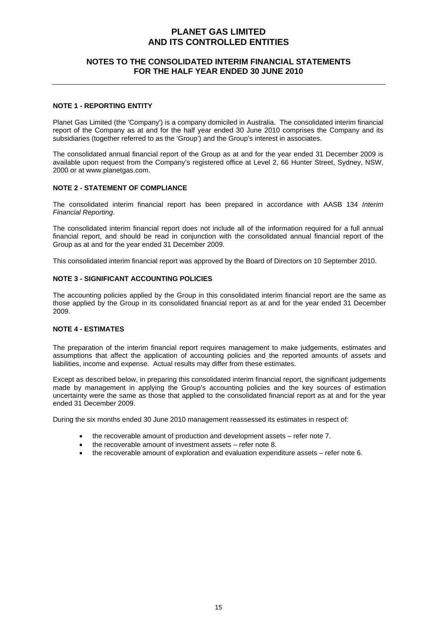# **NOTES TO THE CONSOLIDATED INTERIM FINANCIAL STATEMENTS FOR THE HALF YEAR ENDED 30 JUNE 2010**

## **NOTE 1 - REPORTING ENTITY**

Planet Gas Limited (the 'Company') is a company domiciled in Australia. The consolidated interim financial report of the Company as at and for the half year ended 30 June 2010 comprises the Company and its subsidiaries (together referred to as the 'Group') and the Group's interest in associates.

The consolidated annual financial report of the Group as at and for the year ended 31 December 2009 is available upon request from the Company's registered office at Level 2, 66 Hunter Street, Sydney, NSW, 2000 or at www.planetgas.com.

## **NOTE 2 - STATEMENT OF COMPLIANCE**

The consolidated interim financial report has been prepared in accordance with AASB 134 *Interim Financial Reporting*.

The consolidated interim financial report does not include all of the information required for a full annual financial report, and should be read in conjunction with the consolidated annual financial report of the Group as at and for the year ended 31 December 2009.

This consolidated interim financial report was approved by the Board of Directors on 10 September 2010.

## **NOTE 3 - SIGNIFICANT ACCOUNTING POLICIES**

The accounting policies applied by the Group in this consolidated interim financial report are the same as those applied by the Group in its consolidated financial report as at and for the year ended 31 December 2009.

## **NOTE 4 - ESTIMATES**

The preparation of the interim financial report requires management to make judgements, estimates and assumptions that affect the application of accounting policies and the reported amounts of assets and liabilities, income and expense. Actual results may differ from these estimates.

Except as described below, in preparing this consolidated interim financial report, the significant judgements made by management in applying the Group's accounting policies and the key sources of estimation uncertainty were the same as those that applied to the consolidated financial report as at and for the year ended 31 December 2009.

During the six months ended 30 June 2010 management reassessed its estimates in respect of:

- the recoverable amount of production and development assets refer note 7.
- the recoverable amount of investment assets refer note 8.
- the recoverable amount of exploration and evaluation expenditure assets refer note 6.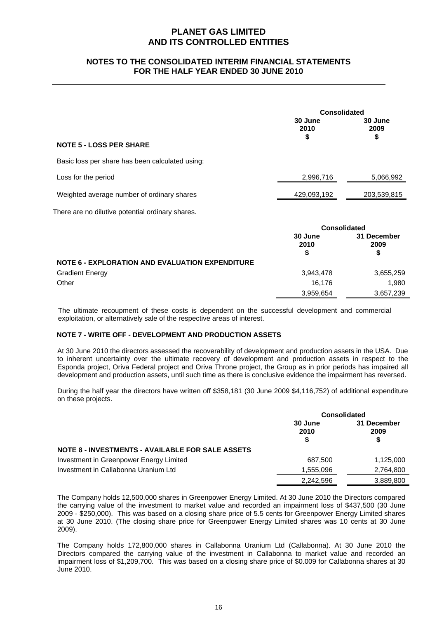# **NOTES TO THE CONSOLIDATED INTERIM FINANCIAL STATEMENTS FOR THE HALF YEAR ENDED 30 JUNE 2010**

|                                                        | <b>Consolidated</b>   |                           |  |
|--------------------------------------------------------|-----------------------|---------------------------|--|
|                                                        | 30 June<br>2010<br>\$ | 30 June<br>2009<br>\$     |  |
| <b>NOTE 5 - LOSS PER SHARE</b>                         |                       |                           |  |
| Basic loss per share has been calculated using:        |                       |                           |  |
| Loss for the period                                    | 2,996,716             | 5,066,992                 |  |
| Weighted average number of ordinary shares             | 429,093,192           | 203,539,815               |  |
| There are no dilutive potential ordinary shares.       |                       |                           |  |
|                                                        | <b>Consolidated</b>   |                           |  |
|                                                        | 30 June<br>2010<br>\$ | 31 December<br>2009<br>\$ |  |
| <b>NOTE 6 - EXPLORATION AND EVALUATION EXPENDITURE</b> |                       |                           |  |
| <b>Gradient Energy</b>                                 | 3,943,478             | 3,655,259                 |  |
| Other                                                  | 16,176                | 1,980                     |  |

The ultimate recoupment of these costs is dependent on the successful development and commercial exploitation, or alternatively sale of the respective areas of interest.

3,959,654 3,657,239

## **NOTE 7 - WRITE OFF - DEVELOPMENT AND PRODUCTION ASSETS**

At 30 June 2010 the directors assessed the recoverability of development and production assets in the USA. Due to inherent uncertainty over the ultimate recovery of development and production assets in respect to the Esponda project, Oriva Federal project and Oriva Throne project, the Group as in prior periods has impaired all development and production assets, until such time as there is conclusive evidence the impairment has reversed.

During the half year the directors have written off \$358,181 (30 June 2009 \$4,116,752) of additional expenditure on these projects.

|                                                         | <b>Consolidated</b>  |                           |  |
|---------------------------------------------------------|----------------------|---------------------------|--|
|                                                         | 30 June<br>2010<br>S | 31 December<br>2009<br>\$ |  |
| <b>NOTE 8 - INVESTMENTS - AVAILABLE FOR SALE ASSETS</b> |                      |                           |  |
| Investment in Greenpower Energy Limited                 | 687.500              | 1,125,000                 |  |
| Investment in Callabonna Uranium Ltd                    | 1,555,096            | 2,764,800                 |  |
|                                                         | 2,242,596            | 3,889,800                 |  |

The Company holds 12,500,000 shares in Greenpower Energy Limited. At 30 June 2010 the Directors compared the carrying value of the investment to market value and recorded an impairment loss of \$437,500 (30 June 2009 - \$250,000). This was based on a closing share price of 5.5 cents for Greenpower Energy Limited shares at 30 June 2010. (The closing share price for Greenpower Energy Limited shares was 10 cents at 30 June 2009).

The Company holds 172,800,000 shares in Callabonna Uranium Ltd (Callabonna). At 30 June 2010 the Directors compared the carrying value of the investment in Callabonna to market value and recorded an impairment loss of \$1,209,700. This was based on a closing share price of \$0.009 for Callabonna shares at 30 June 2010.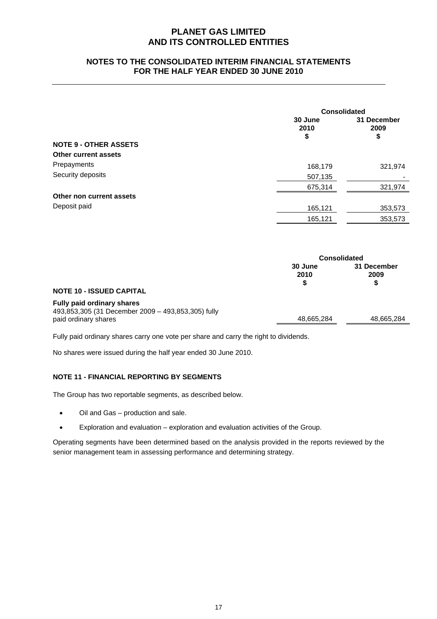# **NOTES TO THE CONSOLIDATED INTERIM FINANCIAL STATEMENTS FOR THE HALF YEAR ENDED 30 JUNE 2010**

|                              |                       | <b>Consolidated</b>       |  |  |
|------------------------------|-----------------------|---------------------------|--|--|
|                              | 30 June<br>2010<br>\$ | 31 December<br>2009<br>\$ |  |  |
| <b>NOTE 9 - OTHER ASSETS</b> |                       |                           |  |  |
| <b>Other current assets</b>  |                       |                           |  |  |
| Prepayments                  | 168,179               | 321,974                   |  |  |
| Security deposits            | 507,135               | $\overline{\phantom{0}}$  |  |  |
|                              | 675,314               | 321,974                   |  |  |
| Other non current assets     |                       |                           |  |  |
| Deposit paid                 | 165,121               | 353,573                   |  |  |
|                              | 165,121               | 353,573                   |  |  |
|                              |                       |                           |  |  |
|                              | Consolidated          |                           |  |  |

|                                                                                  | <b>Consolidated</b> |                          |  |
|----------------------------------------------------------------------------------|---------------------|--------------------------|--|
|                                                                                  | 30 June<br>2010     | 31 December<br>2009<br>S |  |
| <b>NOTE 10 - ISSUED CAPITAL</b>                                                  |                     |                          |  |
| Fully paid ordinary shares<br>493,853,305 (31 December 2009 - 493,853,305) fully |                     |                          |  |
| paid ordinary shares                                                             | 48,665,284          | 48,665,284               |  |

Fully paid ordinary shares carry one vote per share and carry the right to dividends.

No shares were issued during the half year ended 30 June 2010.

## **NOTE 11 - FINANCIAL REPORTING BY SEGMENTS**

The Group has two reportable segments, as described below.

- Oil and Gas production and sale.
- Exploration and evaluation exploration and evaluation activities of the Group.

Operating segments have been determined based on the analysis provided in the reports reviewed by the senior management team in assessing performance and determining strategy.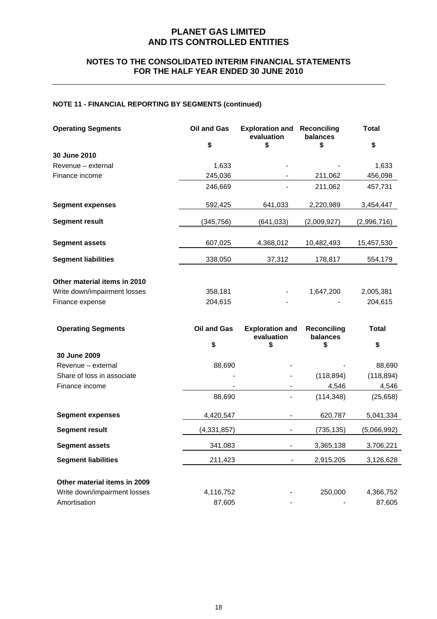# **NOTES TO THE CONSOLIDATED INTERIM FINANCIAL STATEMENTS FOR THE HALF YEAR ENDED 30 JUNE 2010**

# **NOTE 11 - FINANCIAL REPORTING BY SEGMENTS (continued)**

| <b>Operating Segments</b>    | <b>Oil and Gas</b> | <b>Exploration and</b><br>evaluation | Reconciling<br>balances        | <b>Total</b> |
|------------------------------|--------------------|--------------------------------------|--------------------------------|--------------|
|                              | \$                 | \$                                   | \$                             | \$           |
| 30 June 2010                 |                    |                                      |                                |              |
| Revenue - external           | 1,633              |                                      |                                | 1,633        |
| Finance income               | 245,036            |                                      | 211,062                        | 456,098      |
|                              | 246,669            |                                      | 211,062                        | 457,731      |
| <b>Segment expenses</b>      | 592,425            | 641,033                              | 2,220,989                      | 3,454,447    |
| <b>Segment result</b>        | (345,756)          | (641,033)                            | (2,009,927)                    | (2,996,716)  |
| <b>Segment assets</b>        | 607,025            | 4,368,012                            | 10,482,493                     | 15,457,530   |
| <b>Segment liabilities</b>   | 338,050            | 37,312                               | 178,817                        | 554,179      |
| Other material items in 2010 |                    |                                      |                                |              |
| Write down/impairment losses | 358,181            |                                      | 1,647,200                      | 2,005,381    |
| Finance expense              | 204,615            |                                      |                                | 204,615      |
| <b>Operating Segments</b>    | Oil and Gas        | <b>Exploration and</b><br>evaluation | <b>Reconciling</b><br>balances | <b>Total</b> |
|                              | \$                 | \$                                   | \$                             | \$           |
| 30 June 2009                 |                    |                                      |                                |              |
| Revenue – external           | 88,690             |                                      |                                | 88,690       |
| Share of loss in associate   |                    |                                      | (118, 894)                     | (118, 894)   |
| Finance income               |                    |                                      | 4,546                          | 4,546        |
|                              | 88,690             |                                      | (114, 348)                     | (25, 658)    |
| <b>Segment expenses</b>      | 4,420,547          |                                      | 620,787                        | 5,041,334    |
| <b>Segment result</b>        | (4, 331, 857)      |                                      | (735, 135)                     | (5,066,992)  |
| <b>Segment assets</b>        | 341,083            |                                      | 3,365,138                      | 3,706,221    |
| <b>Segment liabilities</b>   | 211,423            | $\blacksquare$                       | 2,915,205                      | 3,126,628    |
| Other material items in 2009 |                    |                                      |                                |              |
| Write down/impairment losses | 4,116,752          |                                      | 250,000                        | 4,366,752    |
| Amortisation                 | 87,605             |                                      |                                | 87,605       |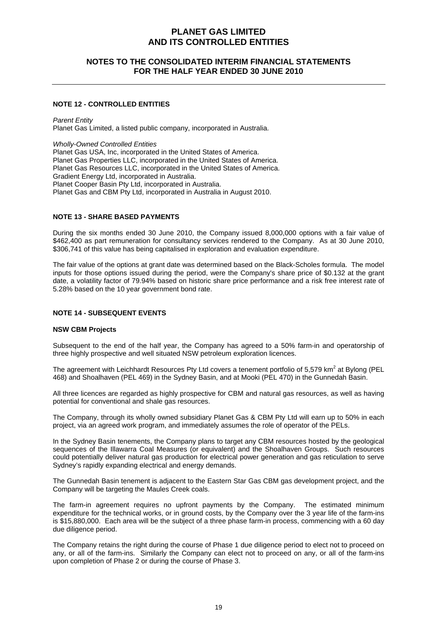# **NOTES TO THE CONSOLIDATED INTERIM FINANCIAL STATEMENTS FOR THE HALF YEAR ENDED 30 JUNE 2010**

## **NOTE 12 - CONTROLLED ENTITIES**

*Parent Entity*  Planet Gas Limited, a listed public company, incorporated in Australia.

*Wholly-Owned Controlled Entities*  Planet Gas USA, Inc, incorporated in the United States of America. Planet Gas Properties LLC, incorporated in the United States of America. Planet Gas Resources LLC, incorporated in the United States of America. Gradient Energy Ltd, incorporated in Australia. Planet Cooper Basin Pty Ltd, incorporated in Australia. Planet Gas and CBM Pty Ltd, incorporated in Australia in August 2010.

### **NOTE 13 - SHARE BASED PAYMENTS**

During the six months ended 30 June 2010, the Company issued 8,000,000 options with a fair value of \$462,400 as part remuneration for consultancy services rendered to the Company. As at 30 June 2010, \$306,741 of this value has being capitalised in exploration and evaluation expenditure.

The fair value of the options at grant date was determined based on the Black-Scholes formula. The model inputs for those options issued during the period, were the Company's share price of \$0.132 at the grant date, a volatility factor of 79.94% based on historic share price performance and a risk free interest rate of 5.28% based on the 10 year government bond rate.

### **NOTE 14 - SUBSEQUENT EVENTS**

### **NSW CBM Projects**

Subsequent to the end of the half year, the Company has agreed to a 50% farm-in and operatorship of three highly prospective and well situated NSW petroleum exploration licences.

The agreement with Leichhardt Resources Pty Ltd covers a tenement portfolio of 5,579 km<sup>2</sup> at Bylong (PEL 468) and Shoalhaven (PEL 469) in the Sydney Basin, and at Mooki (PEL 470) in the Gunnedah Basin.

All three licences are regarded as highly prospective for CBM and natural gas resources, as well as having potential for conventional and shale gas resources.

The Company, through its wholly owned subsidiary Planet Gas & CBM Pty Ltd will earn up to 50% in each project, via an agreed work program, and immediately assumes the role of operator of the PELs.

In the Sydney Basin tenements, the Company plans to target any CBM resources hosted by the geological sequences of the Illawarra Coal Measures (or equivalent) and the Shoalhaven Groups. Such resources could potentially deliver natural gas production for electrical power generation and gas reticulation to serve Sydney's rapidly expanding electrical and energy demands.

The Gunnedah Basin tenement is adjacent to the Eastern Star Gas CBM gas development project, and the Company will be targeting the Maules Creek coals.

The farm-in agreement requires no upfront payments by the Company. The estimated minimum expenditure for the technical works, or in ground costs, by the Company over the 3 year life of the farm-ins is \$15,880,000. Each area will be the subject of a three phase farm-in process, commencing with a 60 day due diligence period.

The Company retains the right during the course of Phase 1 due diligence period to elect not to proceed on any, or all of the farm-ins. Similarly the Company can elect not to proceed on any, or all of the farm-ins upon completion of Phase 2 or during the course of Phase 3.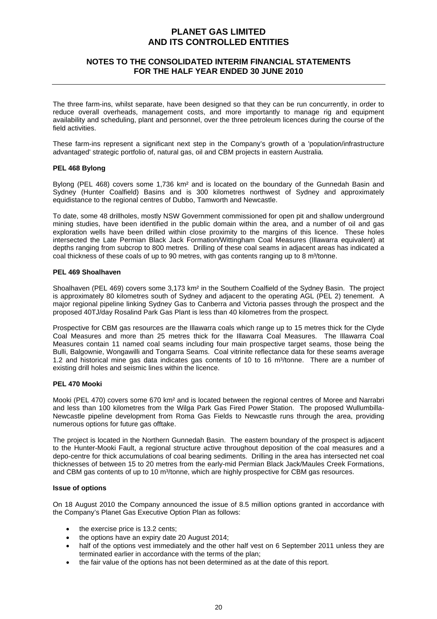# **NOTES TO THE CONSOLIDATED INTERIM FINANCIAL STATEMENTS FOR THE HALF YEAR ENDED 30 JUNE 2010**

The three farm-ins, whilst separate, have been designed so that they can be run concurrently, in order to reduce overall overheads, management costs, and more importantly to manage rig and equipment availability and scheduling, plant and personnel, over the three petroleum licences during the course of the field activities.

These farm-ins represent a significant next step in the Company's growth of a 'population/infrastructure advantaged' strategic portfolio of, natural gas, oil and CBM projects in eastern Australia.

## **PEL 468 Bylong**

Bylong (PEL 468) covers some 1,736 km² and is located on the boundary of the Gunnedah Basin and Sydney (Hunter Coalfield) Basins and is 300 kilometres northwest of Sydney and approximately equidistance to the regional centres of Dubbo, Tamworth and Newcastle.

To date, some 48 drillholes, mostly NSW Government commissioned for open pit and shallow underground mining studies, have been identified in the public domain within the area, and a number of oil and gas exploration wells have been drilled within close proximity to the margins of this licence. These holes intersected the Late Permian Black Jack Formation/Wittingham Coal Measures (Illawarra equivalent) at depths ranging from subcrop to 800 metres. Drilling of these coal seams in adjacent areas has indicated a coal thickness of these coals of up to 90 metres, with gas contents ranging up to 8 m<sup>3</sup>/tonne.

### **PEL 469 Shoalhaven**

Shoalhaven (PEL 469) covers some 3,173 km² in the Southern Coalfield of the Sydney Basin. The project is approximately 80 kilometres south of Sydney and adjacent to the operating AGL (PEL 2) tenement. A major regional pipeline linking Sydney Gas to Canberra and Victoria passes through the prospect and the proposed 40TJ/day Rosalind Park Gas Plant is less than 40 kilometres from the prospect.

Prospective for CBM gas resources are the Illawarra coals which range up to 15 metres thick for the Clyde Coal Measures and more than 25 metres thick for the Illawarra Coal Measures. The Illawarra Coal Measures contain 11 named coal seams including four main prospective target seams, those being the Bulli, Balgownie, Wongawilli and Tongarra Seams. Coal vitrinite reflectance data for these seams average 1.2 and historical mine gas data indicates gas contents of 10 to 16 m<sup>3</sup>/tonne. There are a number of existing drill holes and seismic lines within the licence.

### **PEL 470 Mooki**

Mooki (PEL 470) covers some 670 km² and is located between the regional centres of Moree and Narrabri and less than 100 kilometres from the Wilga Park Gas Fired Power Station. The proposed Wullumbilla-Newcastle pipeline development from Roma Gas Fields to Newcastle runs through the area, providing numerous options for future gas offtake.

The project is located in the Northern Gunnedah Basin. The eastern boundary of the prospect is adjacent to the Hunter-Mooki Fault, a regional structure active throughout deposition of the coal measures and a depo-centre for thick accumulations of coal bearing sediments. Drilling in the area has intersected net coal thicknesses of between 15 to 20 metres from the early-mid Permian Black Jack/Maules Creek Formations, and CBM gas contents of up to 10 m<sup>3</sup>/tonne, which are highly prospective for CBM gas resources.

## **Issue of options**

On 18 August 2010 the Company announced the issue of 8.5 million options granted in accordance with the Company's Planet Gas Executive Option Plan as follows:

- the exercise price is 13.2 cents;
- the options have an expiry date 20 August 2014;
- half of the options vest immediately and the other half vest on 6 September 2011 unless they are terminated earlier in accordance with the terms of the plan;
- the fair value of the options has not been determined as at the date of this report.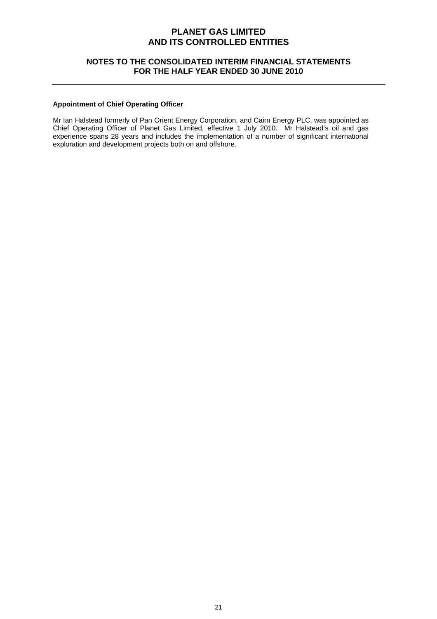# **NOTES TO THE CONSOLIDATED INTERIM FINANCIAL STATEMENTS FOR THE HALF YEAR ENDED 30 JUNE 2010**

## **Appointment of Chief Operating Officer**

Mr Ian Halstead formerly of Pan Orient Energy Corporation, and Cairn Energy PLC, was appointed as Chief Operating Officer of Planet Gas Limited, effective 1 July 2010. Mr Halstead's oil and gas experience spans 28 years and includes the implementation of a number of significant international exploration and development projects both on and offshore.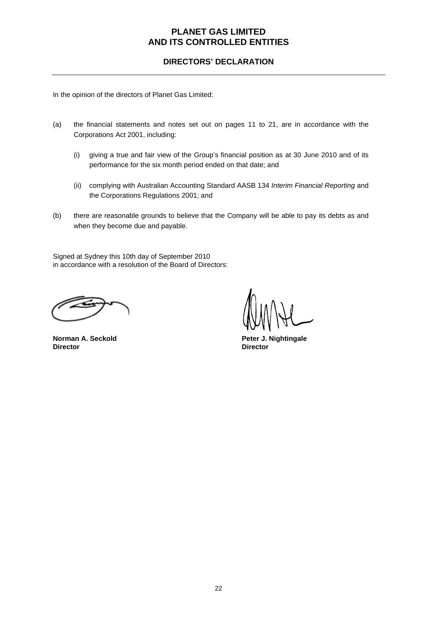# **DIRECTORS' DECLARATION**

In the opinion of the directors of Planet Gas Limited:

- (a) the financial statements and notes set out on pages 11 to 21, are in accordance with the Corporations Act 2001, including:
	- (i) giving a true and fair view of the Group's financial position as at 30 June 2010 and of its performance for the six month period ended on that date; and
	- (ii) complying with Australian Accounting Standard AASB 134 *Interim Financial Reporting* and the Corporations Regulations 2001; and
- (b) there are reasonable grounds to believe that the Company will be able to pay its debts as and when they become due and payable.

Signed at Sydney this 10th day of September 2010 in accordance with a resolution of the Board of Directors:

**Director Director** 

**Norman A. Seckold Peter J. Nightingale**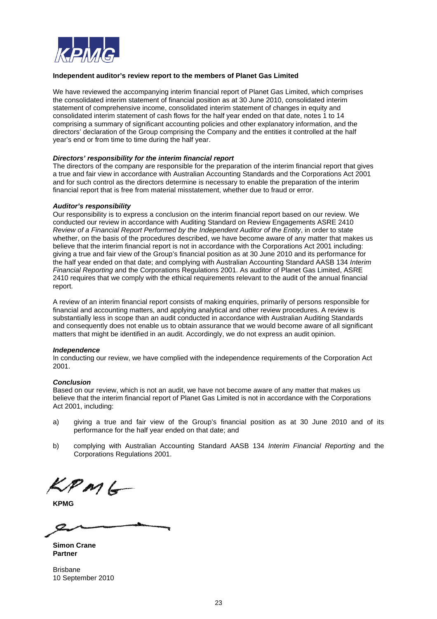

### **Independent auditor's review report to the members of Planet Gas Limited**

We have reviewed the accompanying interim financial report of Planet Gas Limited, which comprises the consolidated interim statement of financial position as at 30 June 2010, consolidated interim statement of comprehensive income, consolidated interim statement of changes in equity and consolidated interim statement of cash flows for the half year ended on that date, notes 1 to 14 comprising a summary of significant accounting policies and other explanatory information, and the directors' declaration of the Group comprising the Company and the entities it controlled at the half year's end or from time to time during the half year.

### *Directors' responsibility for the interim financial report*

The directors of the company are responsible for the preparation of the interim financial report that gives a true and fair view in accordance with Australian Accounting Standards and the Corporations Act 2001 and for such control as the directors determine is necessary to enable the preparation of the interim financial report that is free from material misstatement, whether due to fraud or error.

### *Auditor's responsibility*

Our responsibility is to express a conclusion on the interim financial report based on our review. We conducted our review in accordance with Auditing Standard on Review Engagements ASRE 2410 *Review of a Financial Report Performed by the Independent Auditor of the Entity*, in order to state whether, on the basis of the procedures described, we have become aware of any matter that makes us believe that the interim financial report is not in accordance with the Corporations Act 2001 including: giving a true and fair view of the Group's financial position as at 30 June 2010 and its performance for the half year ended on that date; and complying with Australian Accounting Standard AASB 134 *Interim Financial Reporting* and the Corporations Regulations 2001. As auditor of Planet Gas Limited, ASRE 2410 requires that we comply with the ethical requirements relevant to the audit of the annual financial report.

A review of an interim financial report consists of making enquiries, primarily of persons responsible for financial and accounting matters, and applying analytical and other review procedures. A review is substantially less in scope than an audit conducted in accordance with Australian Auditing Standards and consequently does not enable us to obtain assurance that we would become aware of all significant matters that might be identified in an audit. Accordingly, we do not express an audit opinion.

### *Independence*

In conducting our review, we have complied with the independence requirements of the Corporation Act 2001.

### *Conclusion*

Based on our review, which is not an audit, we have not become aware of any matter that makes us believe that the interim financial report of Planet Gas Limited is not in accordance with the Corporations Act 2001, including:

- a) giving a true and fair view of the Group's financial position as at 30 June 2010 and of its performance for the half year ended on that date; and
- b) complying with Australian Accounting Standard AASB 134 *Interim Financial Reporting* and the Corporations Regulations 2001.

KPMG

**KPMG** 

**Simon Crane Partner** 

Brisbane 10 September 2010